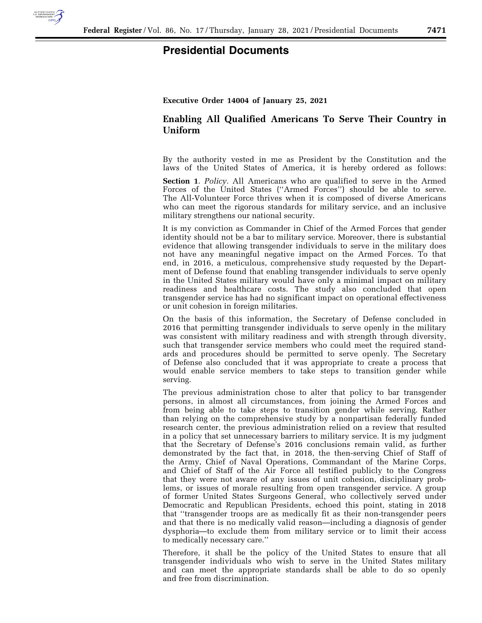

## **Presidential Documents**

## **Executive Order 14004 of January 25, 2021**

## **Enabling All Qualified Americans To Serve Their Country in Uniform**

By the authority vested in me as President by the Constitution and the laws of the United States of America, it is hereby ordered as follows:

**Section 1**. *Policy.* All Americans who are qualified to serve in the Armed Forces of the United States (''Armed Forces'') should be able to serve. The All-Volunteer Force thrives when it is composed of diverse Americans who can meet the rigorous standards for military service, and an inclusive military strengthens our national security.

It is my conviction as Commander in Chief of the Armed Forces that gender identity should not be a bar to military service. Moreover, there is substantial evidence that allowing transgender individuals to serve in the military does not have any meaningful negative impact on the Armed Forces. To that end, in 2016, a meticulous, comprehensive study requested by the Department of Defense found that enabling transgender individuals to serve openly in the United States military would have only a minimal impact on military readiness and healthcare costs. The study also concluded that open transgender service has had no significant impact on operational effectiveness or unit cohesion in foreign militaries.

On the basis of this information, the Secretary of Defense concluded in 2016 that permitting transgender individuals to serve openly in the military was consistent with military readiness and with strength through diversity, such that transgender service members who could meet the required standards and procedures should be permitted to serve openly. The Secretary of Defense also concluded that it was appropriate to create a process that would enable service members to take steps to transition gender while serving.

The previous administration chose to alter that policy to bar transgender persons, in almost all circumstances, from joining the Armed Forces and from being able to take steps to transition gender while serving. Rather than relying on the comprehensive study by a nonpartisan federally funded research center, the previous administration relied on a review that resulted in a policy that set unnecessary barriers to military service. It is my judgment that the Secretary of Defense's 2016 conclusions remain valid, as further demonstrated by the fact that, in 2018, the then-serving Chief of Staff of the Army, Chief of Naval Operations, Commandant of the Marine Corps, and Chief of Staff of the Air Force all testified publicly to the Congress that they were not aware of any issues of unit cohesion, disciplinary problems, or issues of morale resulting from open transgender service. A group of former United States Surgeons General, who collectively served under Democratic and Republican Presidents, echoed this point, stating in 2018 that ''transgender troops are as medically fit as their non-transgender peers and that there is no medically valid reason—including a diagnosis of gender dysphoria—to exclude them from military service or to limit their access to medically necessary care.''

Therefore, it shall be the policy of the United States to ensure that all transgender individuals who wish to serve in the United States military and can meet the appropriate standards shall be able to do so openly and free from discrimination.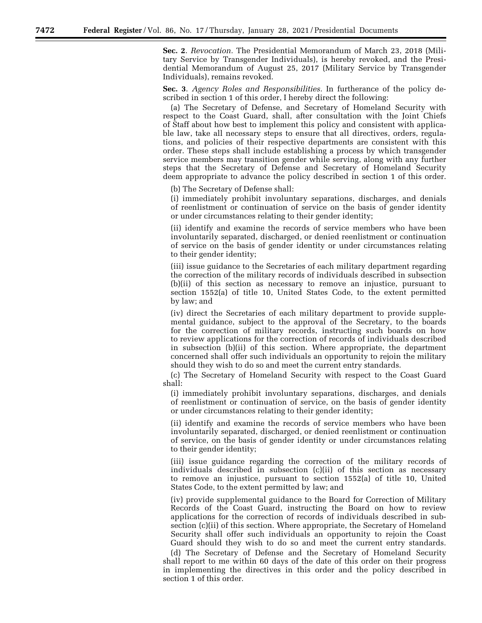**Sec. 2**. *Revocation.* The Presidential Memorandum of March 23, 2018 (Military Service by Transgender Individuals), is hereby revoked, and the Presidential Memorandum of August 25, 2017 (Military Service by Transgender Individuals), remains revoked.

**Sec. 3**. *Agency Roles and Responsibilities.* In furtherance of the policy described in section 1 of this order, I hereby direct the following:

(a) The Secretary of Defense, and Secretary of Homeland Security with respect to the Coast Guard, shall, after consultation with the Joint Chiefs of Staff about how best to implement this policy and consistent with applicable law, take all necessary steps to ensure that all directives, orders, regulations, and policies of their respective departments are consistent with this order. These steps shall include establishing a process by which transgender service members may transition gender while serving, along with any further steps that the Secretary of Defense and Secretary of Homeland Security deem appropriate to advance the policy described in section 1 of this order.

(b) The Secretary of Defense shall:

(i) immediately prohibit involuntary separations, discharges, and denials of reenlistment or continuation of service on the basis of gender identity or under circumstances relating to their gender identity;

(ii) identify and examine the records of service members who have been involuntarily separated, discharged, or denied reenlistment or continuation of service on the basis of gender identity or under circumstances relating to their gender identity;

(iii) issue guidance to the Secretaries of each military department regarding the correction of the military records of individuals described in subsection (b)(ii) of this section as necessary to remove an injustice, pursuant to section 1552(a) of title 10, United States Code, to the extent permitted by law; and

(iv) direct the Secretaries of each military department to provide supplemental guidance, subject to the approval of the Secretary, to the boards for the correction of military records, instructing such boards on how to review applications for the correction of records of individuals described in subsection (b)(ii) of this section. Where appropriate, the department concerned shall offer such individuals an opportunity to rejoin the military should they wish to do so and meet the current entry standards.

(c) The Secretary of Homeland Security with respect to the Coast Guard shall:

(i) immediately prohibit involuntary separations, discharges, and denials of reenlistment or continuation of service, on the basis of gender identity or under circumstances relating to their gender identity;

(ii) identify and examine the records of service members who have been involuntarily separated, discharged, or denied reenlistment or continuation of service, on the basis of gender identity or under circumstances relating to their gender identity;

(iii) issue guidance regarding the correction of the military records of individuals described in subsection (c)(ii) of this section as necessary to remove an injustice, pursuant to section 1552(a) of title 10, United States Code, to the extent permitted by law; and

(iv) provide supplemental guidance to the Board for Correction of Military Records of the Coast Guard, instructing the Board on how to review applications for the correction of records of individuals described in subsection (c)(ii) of this section. Where appropriate, the Secretary of Homeland Security shall offer such individuals an opportunity to rejoin the Coast Guard should they wish to do so and meet the current entry standards.

(d) The Secretary of Defense and the Secretary of Homeland Security shall report to me within 60 days of the date of this order on their progress in implementing the directives in this order and the policy described in section 1 of this order.